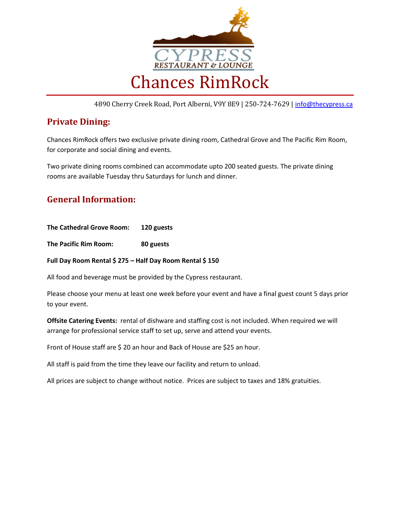

4890 Cherry Creek Road, Port Alberni, V9Y 8E9 | 250-724-7629 | [info@thecypress.ca](mailto:info@thecypress.ca)

### **Private Dining:**

Chances RimRock offers two exclusive private dining room, Cathedral Grove and The Pacific Rim Room, for corporate and social dining and events.

Two private dining rooms combined can accommodate upto 200 seated guests. The private dining rooms are available Tuesday thru Saturdays for lunch and dinner.

### **General Information:**

**The Cathedral Grove Room: 120 guests** 

**The Pacific Rim Room: 80 guests**

**Full Day Room Rental \$ 275 – Half Day Room Rental \$ 150**

All food and beverage must be provided by the Cypress restaurant.

Please choose your menu at least one week before your event and have a final guest count 5 days prior to your event.

**Offsite Catering Events:** rental of dishware and staffing cost is not included. When required we will arrange for professional service staff to set up, serve and attend your events.

Front of House staff are \$20 an hour and Back of House are \$25 an hour.

All staff is paid from the time they leave our facility and return to unload.

All prices are subject to change without notice. Prices are subject to taxes and 18% gratuities.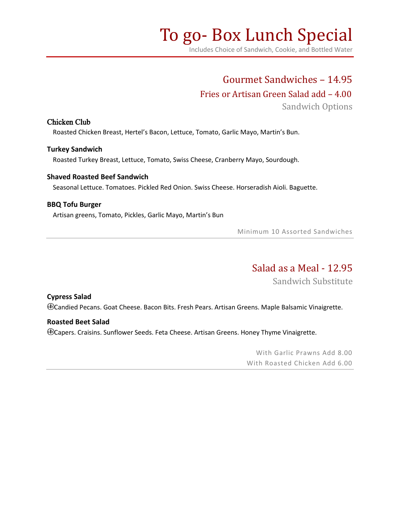# To go- Box Lunch Special

Includes Choice of Sandwich, Cookie, and Bottled Water

## Gourmet Sandwiches – 14.95

### Fries or Artisan Green Salad add – 4.00

Sandwich Options

### Chicken Club

Roasted Chicken Breast, Hertel's Bacon, Lettuce, Tomato, Garlic Mayo, Martin's Bun.

#### **Turkey Sandwich**

Roasted Turkey Breast, Lettuce, Tomato, Swiss Cheese, Cranberry Mayo, Sourdough.

#### **Shaved Roasted Beef Sandwich**

Seasonal Lettuce. Tomatoes. Pickled Red Onion. Swiss Cheese. Horseradish Aioli. Baguette.

### **BBQ Tofu Burger**

Artisan greens, Tomato, Pickles, Garlic Mayo, Martin's Bun

Minimum 10 Assorted Sandwiches

# Salad as a Meal - 12.95

Sandwich Substitute

### **Cypress Salad**

Candied Pecans. Goat Cheese. Bacon Bits. Fresh Pears. Artisan Greens. Maple Balsamic Vinaigrette.

### **Roasted Beet Salad**

Capers. Craisins. Sunflower Seeds. Feta Cheese. Artisan Greens. Honey Thyme Vinaigrette.

With Garlic Prawns Add 8.00 With Roasted Chicken Add 6.00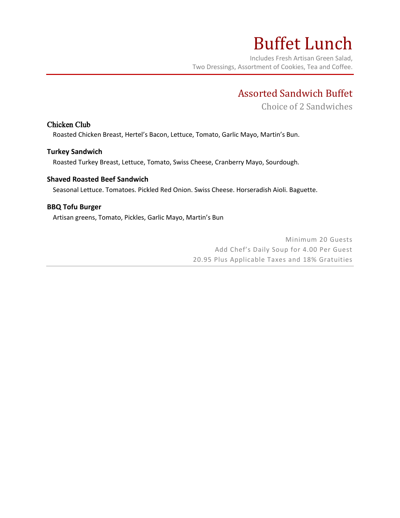# Buffet Lunch

Includes Fresh Artisan Green Salad, Two Dressings, Assortment of Cookies, Tea and Coffee.

# Assorted Sandwich Buffet

Choice of 2 Sandwiches

### Chicken Club

Roasted Chicken Breast, Hertel's Bacon, Lettuce, Tomato, Garlic Mayo, Martin's Bun.

### **Turkey Sandwich**

Roasted Turkey Breast, Lettuce, Tomato, Swiss Cheese, Cranberry Mayo, Sourdough.

### **Shaved Roasted Beef Sandwich**

Seasonal Lettuce. Tomatoes. Pickled Red Onion. Swiss Cheese. Horseradish Aioli. Baguette.

### **BBQ Tofu Burger**

Artisan greens, Tomato, Pickles, Garlic Mayo, Martin's Bun

Minimum 20 Guests Add Chef's Daily Soup for 4.00 Per Guest 20.95 Plus Applicable Taxes and 18% Gratuities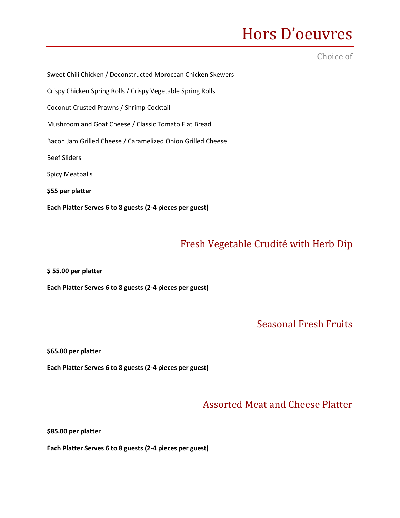# Hors D'oeuvres

### Choice of

Sweet Chili Chicken / Deconstructed Moroccan Chicken Skewers Crispy Chicken Spring Rolls / Crispy Vegetable Spring Rolls Coconut Crusted Prawns / Shrimp Cocktail Mushroom and Goat Cheese / Classic Tomato Flat Bread Bacon Jam Grilled Cheese / Caramelized Onion Grilled Cheese Beef Sliders Spicy Meatballs **\$55 per platter Each Platter Serves 6 to 8 guests (2-4 pieces per guest)**

## Fresh Vegetable Crudité with Herb Dip

**\$ 55.00 per platter**

**Each Platter Serves 6 to 8 guests (2-4 pieces per guest)**

Seasonal Fresh Fruits

**\$65.00 per platter**

**Each Platter Serves 6 to 8 guests (2-4 pieces per guest)**

### Assorted Meat and Cheese Platter

**\$85.00 per platter**

**Each Platter Serves 6 to 8 guests (2-4 pieces per guest)**